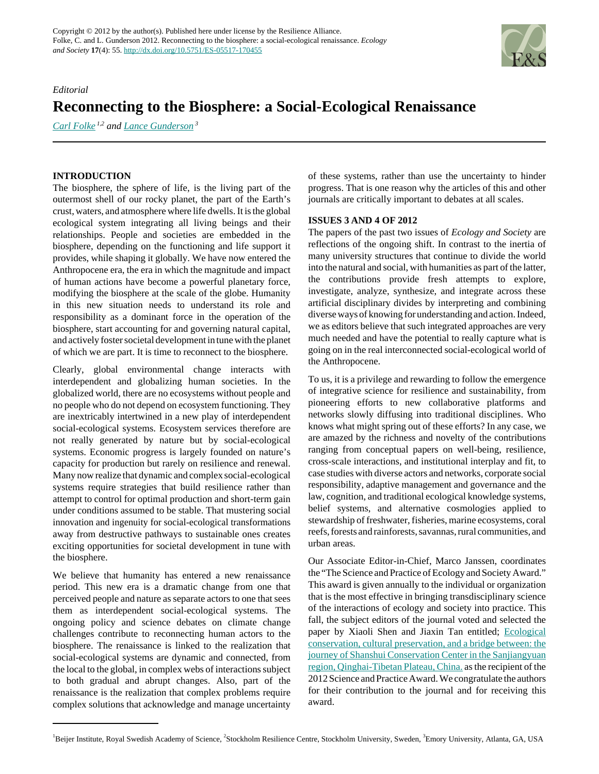

### *Editorial*

# **Reconnecting to the Biosphere: a Social-Ecological Renaissance**

*[Carl Folke](mailto:carl.folke@beijer.kva.se) 1,2 and [Lance Gunderson](mailto:lgunder@emory.edu)<sup>3</sup>*

## **INTRODUCTION**

The biosphere, the sphere of life, is the living part of the outermost shell of our rocky planet, the part of the Earth's crust, waters, and atmosphere where life dwells. It is the global ecological system integrating all living beings and their relationships. People and societies are embedded in the biosphere, depending on the functioning and life support it provides, while shaping it globally. We have now entered the Anthropocene era, the era in which the magnitude and impact of human actions have become a powerful planetary force, modifying the biosphere at the scale of the globe. Humanity in this new situation needs to understand its role and responsibility as a dominant force in the operation of the biosphere, start accounting for and governing natural capital, and actively foster societal development in tune with the planet of which we are part. It is time to reconnect to the biosphere.

Clearly, global environmental change interacts with interdependent and globalizing human societies. In the globalized world, there are no ecosystems without people and no people who do not depend on ecosystem functioning. They are inextricably intertwined in a new play of interdependent social-ecological systems. Ecosystem services therefore are not really generated by nature but by social-ecological systems. Economic progress is largely founded on nature's capacity for production but rarely on resilience and renewal. Many now realize that dynamic and complex social-ecological systems require strategies that build resilience rather than attempt to control for optimal production and short-term gain under conditions assumed to be stable. That mustering social innovation and ingenuity for social-ecological transformations away from destructive pathways to sustainable ones creates exciting opportunities for societal development in tune with the biosphere.

We believe that humanity has entered a new renaissance period. This new era is a dramatic change from one that perceived people and nature as separate actors to one that sees them as interdependent social-ecological systems. The ongoing policy and science debates on climate change challenges contribute to reconnecting human actors to the biosphere. The renaissance is linked to the realization that social-ecological systems are dynamic and connected, from the local to the global, in complex webs of interactions subject to both gradual and abrupt changes. Also, part of the renaissance is the realization that complex problems require complex solutions that acknowledge and manage uncertainty of these systems, rather than use the uncertainty to hinder progress. That is one reason why the articles of this and other journals are critically important to debates at all scales.

### **ISSUES 3 AND 4 OF 2012**

The papers of the past two issues of *Ecology and Society* are reflections of the ongoing shift. In contrast to the inertia of many university structures that continue to divide the world into the natural and social, with humanities as part of the latter, the contributions provide fresh attempts to explore, investigate, analyze, synthesize, and integrate across these artificial disciplinary divides by interpreting and combining diverse ways of knowing for understanding and action. Indeed, we as editors believe that such integrated approaches are very much needed and have the potential to really capture what is going on in the real interconnected social-ecological world of the Anthropocene.

To us, it is a privilege and rewarding to follow the emergence of integrative science for resilience and sustainability, from pioneering efforts to new collaborative platforms and networks slowly diffusing into traditional disciplines. Who knows what might spring out of these efforts? In any case, we are amazed by the richness and novelty of the contributions ranging from conceptual papers on well-being, resilience, cross-scale interactions, and institutional interplay and fit, to case studies with diverse actors and networks, corporate social responsibility, adaptive management and governance and the law, cognition, and traditional ecological knowledge systems, belief systems, and alternative cosmologies applied to stewardship of freshwater, fisheries, marine ecosystems, coral reefs, forests and rainforests, savannas, rural communities, and urban areas.

Our Associate Editor-in-Chief, Marco Janssen, coordinates the "The Science and Practice of Ecology and Society Award." This award is given annually to the individual or organization that is the most effective in bringing transdisciplinary science of the interactions of ecology and society into practice. This fall, the subject editors of the journal voted and selected the paper by Xiaoli Shen and Jiaxin Tan entitled; [Ecological](http://www.ecologyandsociety.org/vol17/iss4/art38/) [conservation, cultural preservation, and a bridge between: the](http://www.ecologyandsociety.org/vol17/iss4/art38/) [journey of Shanshui Conservation Center in the Sanjiangyuan](http://www.ecologyandsociety.org/vol17/iss4/art38/) [region, Qinghai-Tibetan Plateau, China.](http://www.ecologyandsociety.org/vol17/iss4/art38/) as the recipient of the 2012 Science and Practice Award. We congratulate the authors for their contribution to the journal and for receiving this award.

<sup>&</sup>lt;sup>1</sup>Beijer Institute, Royal Swedish Academy of Science, <sup>2</sup>Stockholm Resilience Centre, Stockholm University, Sweden, <sup>3</sup>Emory University, Atlanta, GA, USA